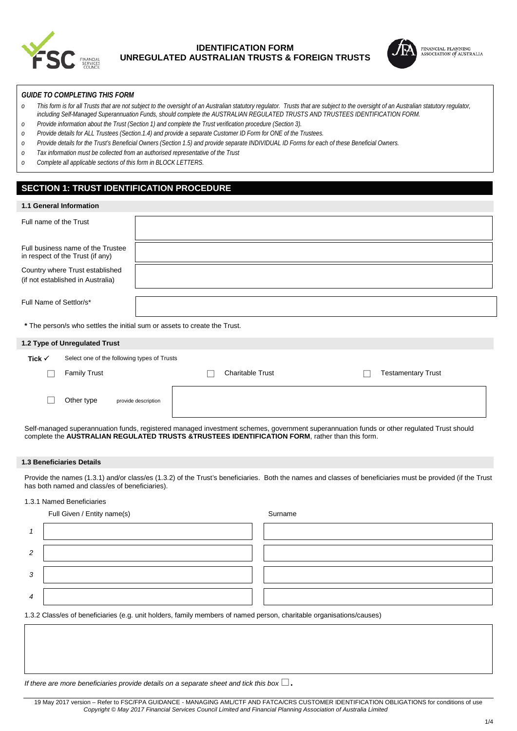

# **IDENTIFICATION FORM UNREGULATED AUSTRALIAN TRUSTS & FOREIGN TRUSTS**



## *GUIDE TO COMPLETING THIS FORM*

- *o This form is for all Trusts that are not subject to the oversight of an Australian statutory regulator. Trusts that are subject to the oversight of an Australian statutory regulator, including Self-Managed Superannuation Funds, should complete the AUSTRALIAN REGULATED TRUSTS AND TRUSTEES IDENTIFICATION FORM.*
- *o Provide information about the Trust (Section 1) and complete the Trust verification procedure (Section 3).*
- *o Provide details for ALL Trustees (Section.1.4) and provide a separate Customer ID Form for ONE of the Trustees.*
- *o Provide details for the Trust's Beneficial Owners (Section 1.5) and provide separate INDIVIDUAL ID Forms for each of these Beneficial Owners.*
- *o Tax information must be collected from an authorised representative of the Trust*
- *o Complete all applicable sections of this form in BLOCK LETTERS.*

# **SECTION 1: TRUST IDENTIFICATION PROCEDURE**

| <b>1.1 General Information</b>                                        |                                                                           |                           |  |  |  |
|-----------------------------------------------------------------------|---------------------------------------------------------------------------|---------------------------|--|--|--|
| Full name of the Trust                                                |                                                                           |                           |  |  |  |
| Full business name of the Trustee<br>in respect of the Trust (if any) |                                                                           |                           |  |  |  |
| Country where Trust established<br>(if not established in Australia)  |                                                                           |                           |  |  |  |
| Full Name of Settlor/s*                                               |                                                                           |                           |  |  |  |
|                                                                       | * The person/s who settles the initial sum or assets to create the Trust. |                           |  |  |  |
| 1.2 Type of Unregulated Trust                                         |                                                                           |                           |  |  |  |
| Tick $\checkmark$<br>Select one of the following types of Trusts      |                                                                           |                           |  |  |  |
| <b>Family Trust</b>                                                   | <b>Charitable Trust</b>                                                   | <b>Testamentary Trust</b> |  |  |  |
| Other type                                                            | provide description                                                       |                           |  |  |  |

Self-managed superannuation funds, registered managed investment schemes, government superannuation funds or other regulated Trust should complete the **AUSTRALIAN REGULATED TRUSTS &TRUSTEES IDENTIFICATION FORM**, rather than this form.

#### **1.3 Beneficiaries Details**

Provide the names (1.3.1) and/or class/es (1.3.2) of the Trust's beneficiaries. Both the names and classes of beneficiaries must be provided (if the Trust has both named and class/es of beneficiaries).

### 1.3.1 Named Beneficiaries

|                | Full Given / Entity name(s)                                                                                          | Surname |
|----------------|----------------------------------------------------------------------------------------------------------------------|---------|
|                |                                                                                                                      |         |
| 2              |                                                                                                                      |         |
| 3              |                                                                                                                      |         |
| $\overline{4}$ |                                                                                                                      |         |
|                | 1.3.2 Class/es of beneficiaries (e.g. unit holders, family members of named person, charitable organisations/causes) |         |

*If there are more beneficiaries provide details on a separate sheet and tick this box*.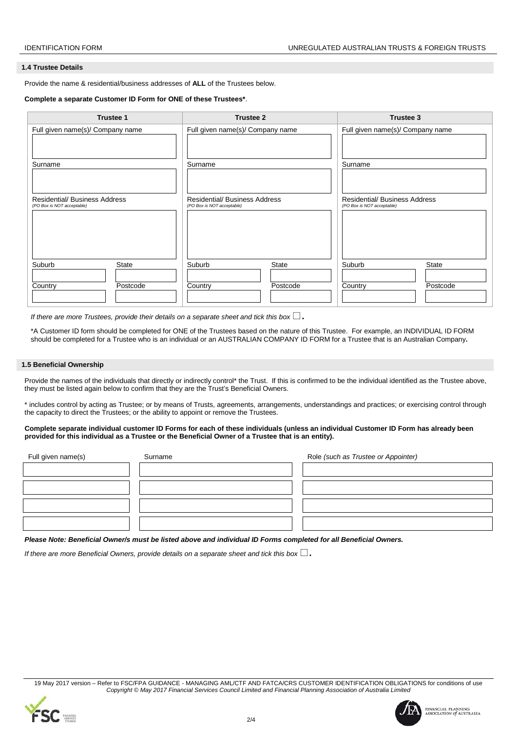### **1.4 Trustee Details**

Provide the name & residential/business addresses of **ALL** of the Trustees below.

### **Complete a separate Customer ID Form for ONE of these Trustees\***.

| <b>Trustee 1</b>                                                   | <b>Trustee 2</b>                                                   | <b>Trustee 3</b>                                                   |  |
|--------------------------------------------------------------------|--------------------------------------------------------------------|--------------------------------------------------------------------|--|
| Full given name(s)/ Company name                                   | Full given name(s)/ Company name                                   | Full given name(s)/ Company name                                   |  |
|                                                                    |                                                                    |                                                                    |  |
| Surname                                                            | Surname                                                            | Surname                                                            |  |
|                                                                    |                                                                    |                                                                    |  |
| <b>Residential/ Business Address</b><br>(PO Box is NOT acceptable) | <b>Residential/ Business Address</b><br>(PO Box is NOT acceptable) | <b>Residential/ Business Address</b><br>(PO Box is NOT acceptable) |  |
|                                                                    |                                                                    |                                                                    |  |
|                                                                    |                                                                    |                                                                    |  |
|                                                                    |                                                                    |                                                                    |  |
| Suburb<br><b>State</b>                                             | Suburb<br><b>State</b>                                             | Suburb<br><b>State</b>                                             |  |
| Country<br>Postcode                                                | Postcode<br>Country                                                | Country<br>Postcode                                                |  |
|                                                                    |                                                                    |                                                                    |  |

*If there are more Trustees, provide their details on a separate sheet and tick this box*  $\square$ .

\*A Customer ID form should be completed for ONE of the Trustees based on the nature of this Trustee. For example, an INDIVIDUAL ID FORM should be completed for a Trustee who is an individual or an AUSTRALIAN COMPANY ID FORM for a Trustee that is an Australian Company**.** 

### **1.5 Beneficial Ownership**

Provide the names of the individuals that directly or indirectly control\* the Trust. If this is confirmed to be the individual identified as the Trustee above, they must be listed again below to confirm that they are the Trust's Beneficial Owners.

\* includes control by acting as Trustee; or by means of Trusts, agreements, arrangements, understandings and practices; or exercising control through the capacity to direct the Trustees; or the ability to appoint or remove the Trustees.

#### **Complete separate individual customer ID Forms for each of these individuals (unless an individual Customer ID Form has already been provided for this individual as a Trustee or the Beneficial Owner of a Trustee that is an entity).**

| Full given name(s) | Surname | Role (such as Trustee or Appointer) |  |  |
|--------------------|---------|-------------------------------------|--|--|
|                    |         |                                     |  |  |
|                    |         |                                     |  |  |
|                    |         |                                     |  |  |
|                    |         |                                     |  |  |

*Please Note: Beneficial Owner/s must be listed above and individual ID Forms completed for all Beneficial Owners.*

*If there are more Beneficial Owners, provide details on a separate sheet and tick this box*  $\Box$ .

19 May 2017 version – Refer to FSC/FPA GUIDANCE - MANAGING AML/CTF AND FATCA/CRS CUSTOMER IDENTIFICATION OBLIGATIONS for conditions of use *Copyright © May 2017 Financial Services Council Limited and Financial Planning Association of Australia Limited*





FINANCIAL PLANNING<br>ASSOCIATION *of* AUSTRALIA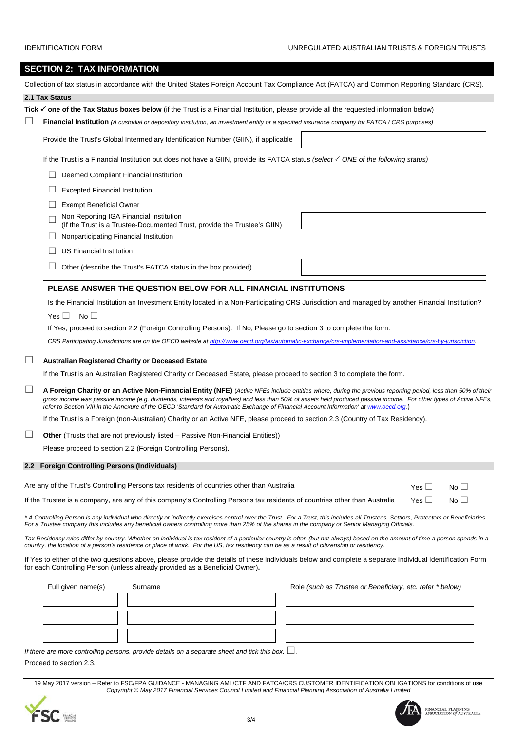## IDENTIFICATION FORM UNREGULATED AUSTRALIAN TRUSTS & FOREIGN TRUSTS

# **SECTION 2: TAX INFORMATION**

|        | Collection of tax status in accordance with the United States Foreign Account Tax Compliance Act (FATCA) and Common Reporting Standard (CRS).                                                                                                                                                                                                                                                                                                                                |                                                           |
|--------|------------------------------------------------------------------------------------------------------------------------------------------------------------------------------------------------------------------------------------------------------------------------------------------------------------------------------------------------------------------------------------------------------------------------------------------------------------------------------|-----------------------------------------------------------|
|        | 2.1 Tax Status                                                                                                                                                                                                                                                                                                                                                                                                                                                               |                                                           |
|        | Tick $\checkmark$ one of the Tax Status boxes below (if the Trust is a Financial Institution, please provide all the requested information below)                                                                                                                                                                                                                                                                                                                            |                                                           |
|        | <b>Financial Institution</b> (A custodial or depository institution, an investment entity or a specified insurance company for FATCA / CRS purposes)                                                                                                                                                                                                                                                                                                                         |                                                           |
|        | Provide the Trust's Global Intermediary Identification Number (GIIN), if applicable                                                                                                                                                                                                                                                                                                                                                                                          |                                                           |
|        | If the Trust is a Financial Institution but does not have a GIIN, provide its FATCA status (select $\checkmark$ ONE of the following status)                                                                                                                                                                                                                                                                                                                                 |                                                           |
|        | Deemed Compliant Financial Institution                                                                                                                                                                                                                                                                                                                                                                                                                                       |                                                           |
|        | <b>Excepted Financial Institution</b>                                                                                                                                                                                                                                                                                                                                                                                                                                        |                                                           |
|        | <b>Exempt Beneficial Owner</b>                                                                                                                                                                                                                                                                                                                                                                                                                                               |                                                           |
|        | Non Reporting IGA Financial Institution<br>(If the Trust is a Trustee-Documented Trust, provide the Trustee's GIIN)                                                                                                                                                                                                                                                                                                                                                          |                                                           |
|        | Nonparticipating Financial Institution                                                                                                                                                                                                                                                                                                                                                                                                                                       |                                                           |
|        | <b>US Financial Institution</b>                                                                                                                                                                                                                                                                                                                                                                                                                                              |                                                           |
|        | Other (describe the Trust's FATCA status in the box provided)                                                                                                                                                                                                                                                                                                                                                                                                                |                                                           |
|        | PLEASE ANSWER THE QUESTION BELOW FOR ALL FINANCIAL INSTITUTIONS                                                                                                                                                                                                                                                                                                                                                                                                              |                                                           |
|        | Is the Financial Institution an Investment Entity located in a Non-Participating CRS Jurisdiction and managed by another Financial Institution?                                                                                                                                                                                                                                                                                                                              |                                                           |
|        | Yes $\Box$<br>$No$ $\Box$                                                                                                                                                                                                                                                                                                                                                                                                                                                    |                                                           |
|        | If Yes, proceed to section 2.2 (Foreign Controlling Persons). If No, Please go to section 3 to complete the form.                                                                                                                                                                                                                                                                                                                                                            |                                                           |
|        | CRS Participating Jurisdictions are on the OECD website at http://www.oecd.org/tax/automatic-exchange/crs-implementation-and-assistance/crs-by-jurisdiction.                                                                                                                                                                                                                                                                                                                 |                                                           |
|        | <b>Australian Registered Charity or Deceased Estate</b><br>If the Trust is an Australian Registered Charity or Deceased Estate, please proceed to section 3 to complete the form.                                                                                                                                                                                                                                                                                            |                                                           |
| $\Box$ | A Foreign Charity or an Active Non-Financial Entity (NFE) (Active NFEs include entities where, during the previous reporting period, less than 50% of their<br>gross income was passive income (e.g. dividends, interests and royalties) and less than 50% of assets held produced passive income. For other types of Active NFEs,<br>refer to Section VIII in the Annexure of the OECD 'Standard for Automatic Exchange of Financial Account Information' at www.oecd.org.) |                                                           |
|        | If the Trust is a Foreign (non-Australian) Charity or an Active NFE, please proceed to section 2.3 (Country of Tax Residency).                                                                                                                                                                                                                                                                                                                                               |                                                           |
| ப      | <b>Other</b> (Trusts that are not previously listed – Passive Non-Financial Entities))                                                                                                                                                                                                                                                                                                                                                                                       |                                                           |
|        | Please proceed to section 2.2 (Foreign Controlling Persons).                                                                                                                                                                                                                                                                                                                                                                                                                 |                                                           |
|        | 2.2 Foreign Controlling Persons (Individuals)                                                                                                                                                                                                                                                                                                                                                                                                                                |                                                           |
|        |                                                                                                                                                                                                                                                                                                                                                                                                                                                                              |                                                           |
|        | Are any of the Trust's Controlling Persons tax residents of countries other than Australia                                                                                                                                                                                                                                                                                                                                                                                   | Yes $\Box$<br>No $\Box$                                   |
|        | If the Trustee is a company, are any of this company's Controlling Persons tax residents of countries other than Australia                                                                                                                                                                                                                                                                                                                                                   | $No \Box$<br>Yes $\Box$                                   |
|        | * A Controlling Person is any individual who directly or indirectly exercises control over the Trust. For a Trust, this includes all Trustees, Settlors, Protectors or Beneficiaries.<br>For a Trustee company this includes any beneficial owners controlling more than 25% of the shares in the company or Senior Managing Officials.                                                                                                                                      |                                                           |
|        | Tax Residency rules differ by country. Whether an individual is tax resident of a particular country is often (but not always) based on the amount of time a person spends in a<br>country, the location of a person's residence or place of work. For the US, tax residency can be as a result of citizenship or residency.                                                                                                                                                 |                                                           |
|        | If Yes to either of the two questions above, please provide the details of these individuals below and complete a separate Individual Identification Form<br>for each Controlling Person (unless already provided as a Beneficial Owner).                                                                                                                                                                                                                                    |                                                           |
|        | Full given name(s)<br>Surname                                                                                                                                                                                                                                                                                                                                                                                                                                                | Role (such as Trustee or Beneficiary, etc. refer * below) |
|        |                                                                                                                                                                                                                                                                                                                                                                                                                                                                              |                                                           |
|        |                                                                                                                                                                                                                                                                                                                                                                                                                                                                              |                                                           |
|        |                                                                                                                                                                                                                                                                                                                                                                                                                                                                              |                                                           |

*If there are more controlling persons, provide details on a separate sheet and tick this box.*  $\square$ .

Proceed to section 2.3.

19 May 2017 version – Refer to FSC/FPA GUIDANCE - MANAGING AML/CTF AND FATCA/CRS CUSTOMER IDENTIFICATION OBLIGATIONS for conditions of use *Copyright © May 2017 Financial Services Council Limited and Financial Planning Association of Australia Limited*